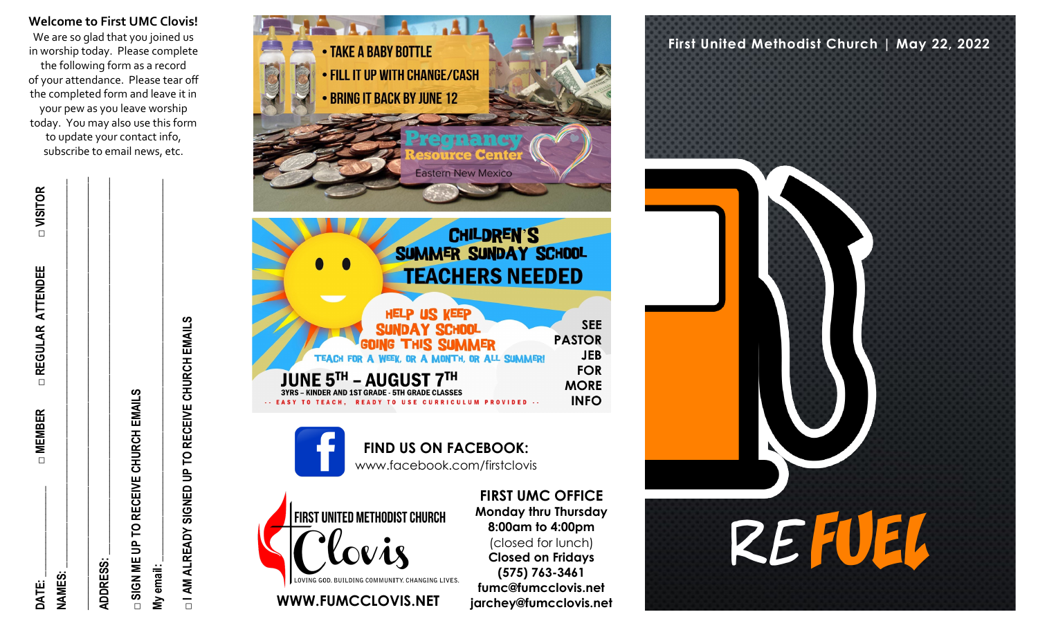**Welcome to First UMC Clovis!** We are so glad that you joined us in worship today. Please complete the following form as a record of your attendance. Please tear off the completed form and leave it in your pew as you leave worship today. You may also use this form to update your contact info, subscribe to email news, etc.

**DATE: \_\_\_\_\_\_\_\_\_\_\_\_\_\_\_\_ □ MEMBER □ REGULAR ATTENDEE □ VISITOR NAMES: \_\_\_\_\_\_\_\_\_\_\_\_\_\_\_\_\_\_\_\_\_\_\_\_\_\_\_\_\_\_\_\_\_\_\_\_\_\_\_\_\_\_\_\_\_\_\_\_\_\_\_\_\_\_\_\_\_\_\_\_\_\_\_\_\_\_\_\_\_ \_\_\_\_\_\_\_\_\_\_\_\_\_\_\_\_\_\_\_\_\_\_\_\_\_\_\_\_\_\_\_\_\_\_\_\_\_\_\_\_\_\_\_\_\_\_\_\_\_\_\_\_\_\_\_\_\_\_\_\_\_\_\_\_\_\_\_\_\_\_\_\_\_\_\_\_\_ ADDRESS: \_\_\_\_\_\_\_\_\_\_\_\_\_\_\_\_\_\_\_\_\_\_\_\_\_\_\_\_\_\_\_\_\_\_\_\_\_\_\_\_\_\_\_\_\_\_\_\_\_\_\_\_\_\_\_\_\_\_\_\_\_\_\_\_\_\_\_ □ SIGN ME UP TO RECEIVE CHURCH EMAILS My email: \_\_\_\_\_\_\_\_\_\_\_\_\_\_\_\_\_\_\_\_\_\_\_\_\_\_\_\_\_\_\_\_\_\_\_\_\_\_\_\_\_\_\_\_\_\_\_\_\_\_\_\_\_\_\_\_\_\_\_\_\_\_\_\_\_\_\_\_**

**□ I AM ALREADY SIGNED UP TO RECEIVE CHURCH EMAILS**  I AM ALREADY SIGNED UP TO RECEIVE CHURCH EMAILS



**WWW.FUMCCLOVIS.NET jarchey@fumcclovis.net** 

**fumc@fumcclovis.net**